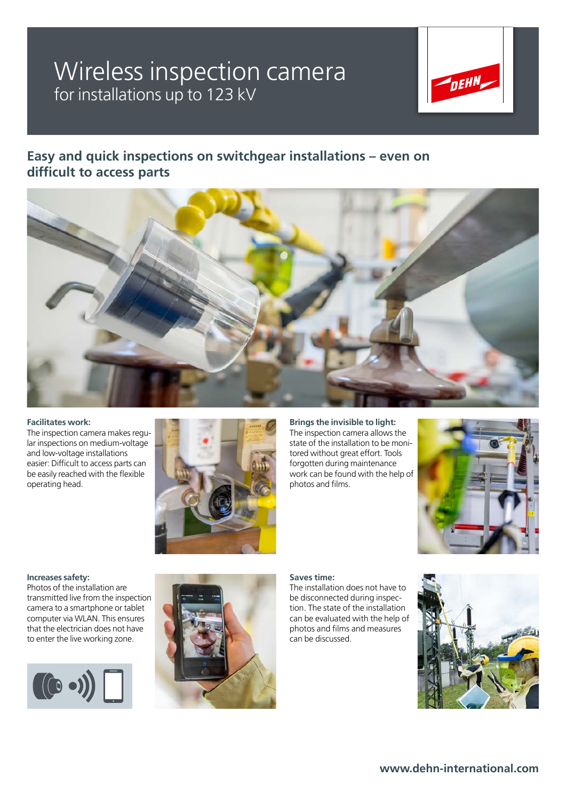## Wireless inspection camera for installations up to 123 kV



### **Easy and quick inspections on switchgear installations – even on difficult to access parts**



#### **Facilitates work:**

The inspection camera makes regular inspections on medium-voltage and low-voltage installations easier: Difficult to access parts can be easily reached with the flexible operating head.



**Brings the invisible to light:**

The inspection camera allows the state of the installation to be monitored without great effort. Tools forgotten during maintenance work can be found with the help of photos and films.



#### **Increases safety:**

Photos of the installation are transmitted live from the inspection camera to a smartphone or tablet computer via WLAN. This ensures that the electrician does not have to enter the live working zone.





#### **Saves time:**

The installation does not have to be disconnected during inspection. The state of the installation can be evaluated with the help of photos and films and measures can be discussed.